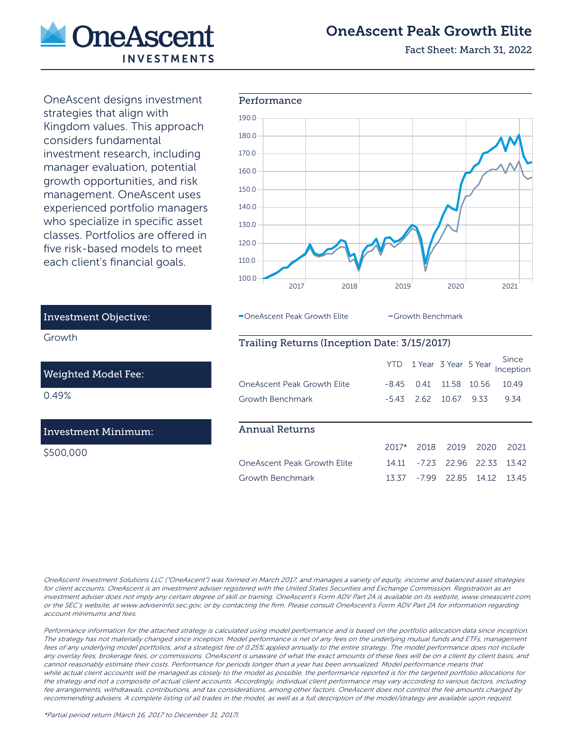

## OneAscent Peak Growth Elite

Fact Sheet: March 31, 2022

OneAscent designs investment strategies that align with Kingdom values. This approach considers fundamental investment research, including manager evaluation, potential growth opportunities, and risk management. OneAscent uses experienced portfolio managers who specialize in specific asset classes. Portfolios are offered in five risk-based models to meet each client's financial goals.



#### OneAscent Peak Growth Elite **Growth Benchmark**

#### Trailing Returns (Inception Date: 3/15/2017)

|                             |         |         | YTD 1 Year 3 Year 5 Year |             | Since<br>Inception |
|-----------------------------|---------|---------|--------------------------|-------------|--------------------|
| OneAscent Peak Growth Flite | -845    | 0.41    | 11.58                    | 10.56       | 10.49              |
| Growth Benchmark            | $-543$  | 2.62    | 10.67                    | 9.33        | 9.34               |
|                             |         |         |                          |             |                    |
|                             |         |         |                          |             |                    |
| <b>Annual Returns</b>       |         |         |                          |             |                    |
|                             | $2017*$ | 2018    | 2019                     | 2020        | 2021               |
| OneAscent Peak Growth Elite | 14 11   | $-7.23$ |                          | 22.96 22.33 | 1342               |
| Growth Benchmark            | 13.37   | -799    | 22.85                    | 14 12       | 1345               |

# Investment Objective:

Growth

#### Weighted Model Fee:

0.49%

#### Investment Minimum:

\$500,000

OneAscent Investment Solutions LLC ("OneAscent") was formed in March 2017, and manages a variety of equity, income and balanced asset strategies for client accounts. OneAscent is an investment adviser registered with the United States Securities and Exchange Commission. Registration as an investment adviser does not imply any certain degree of skill or training. OneAscent's Form ADV Part 2A is available on its website, www.oneascent.com, or the SEC's website, at www.adviserinfo.sec.gov, or by contacting the firm. Please consult OneAscent's Form ADV Part 2A for information regarding account minimums and fees.

Performance information for the attached strategy is calculated using model performance and is based on the portfolio allocation data since inception. The strategy has not materially changed since inception. Model performance is net of any fees on the underlying mutual funds and ETFs, management fees of any underlying model portfolios, and a strategist fee of 0.25% applied annually to the entire strategy. The model performance does not include any overlay fees, brokerage fees, or commissions. OneAscent is unaware of what the exact amounts of these fees will be on a client by client basis, and cannot reasonably estimate their costs. Performance for periods longer than a year has been annualized. Model performance means that while actual client accounts will be managed as closely to the model as possible, the performance reported is for the targeted portfolio allocations for the strategy and not a composite of actual client accounts. Accordingly, individual client performance may vary according to various factors, including fee arrangements, withdrawals, contributions, and tax considerations, among other factors. OneAscent does not control the fee amounts charged by recommending advisers. A complete listing of all trades in the model, as well as a full description of the model/strategy are available upon request.